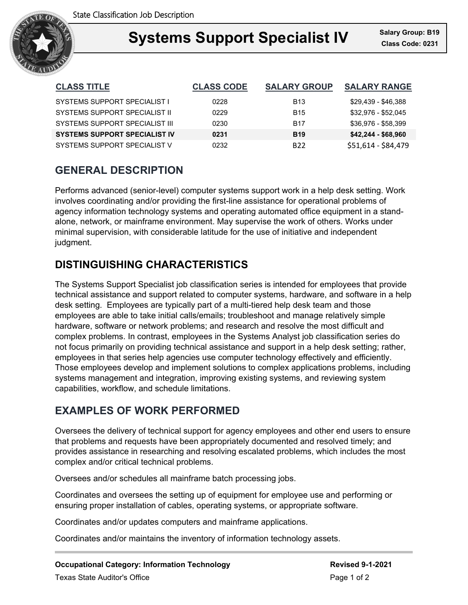

### **Support Specialist IV** Salary Gro **Systems Support Specialist IV Class Code: 0231**

| <b>CLASS TITLE</b>                   | <b>CLASS CODE</b> | <b>SALARY GROUP</b> | <b>SALARY RANGE</b> |
|--------------------------------------|-------------------|---------------------|---------------------|
| <b>SYSTEMS SUPPORT SPECIALIST I</b>  | 0228              | <b>B</b> 13         | \$29,439 - \$46,388 |
| SYSTEMS SUPPORT SPECIALIST II        | 0229              | <b>B</b> 15         | \$32,976 - \$52,045 |
| SYSTEMS SUPPORT SPECIALIST III       | 0230              | <b>B17</b>          | \$36,976 - \$58,399 |
| <b>SYSTEMS SUPPORT SPECIALIST IV</b> | 0231              | <b>B19</b>          | $$42,244 - $68,960$ |
| SYSTEMS SUPPORT SPECIALIST V         | 0232              | B <sub>22</sub>     | \$51,614 - \$84,479 |

## **GENERAL DESCRIPTION**

Performs advanced (senior-level) computer systems support work in a help desk setting. Work involves coordinating and/or providing the first-line assistance for operational problems of agency information technology systems and operating automated office equipment in a standalone, network, or mainframe environment. May supervise the work of others. Works under minimal supervision, with considerable latitude for the use of initiative and independent judgment.

# **DISTINGUISHING CHARACTERISTICS**

The Systems Support Specialist job classification series is intended for employees that provide technical assistance and support related to computer systems, hardware, and software in a help desk setting. Employees are typically part of a multi-tiered help desk team and those employees are able to take initial calls/emails; troubleshoot and manage relatively simple hardware, software or network problems; and research and resolve the most difficult and complex problems. In contrast, employees in the Systems Analyst job classification series do not focus primarily on providing technical assistance and support in a help desk setting; rather, employees in that series help agencies use computer technology effectively and efficiently. Those employees develop and implement solutions to complex applications problems, including systems management and integration, improving existing systems, and reviewing system capabilities, workflow, and schedule limitations.

## **EXAMPLES OF WORK PERFORMED**

Oversees the delivery of technical support for agency employees and other end users to ensure that problems and requests have been appropriately documented and resolved timely; and provides assistance in researching and resolving escalated problems, which includes the most complex and/or critical technical problems.

Oversees and/or schedules all mainframe batch processing jobs.

Coordinates and oversees the setting up of equipment for employee use and performing or ensuring proper installation of cables, operating systems, or appropriate software.

Coordinates and/or updates computers and mainframe applications.

Coordinates and/or maintains the inventory of information technology assets.

**Occupational Category: Information Technology <b>Revised 9-1-2021** Revised 9-1-2021 Texas State Auditor's Office **Page 1 of 2** and 2